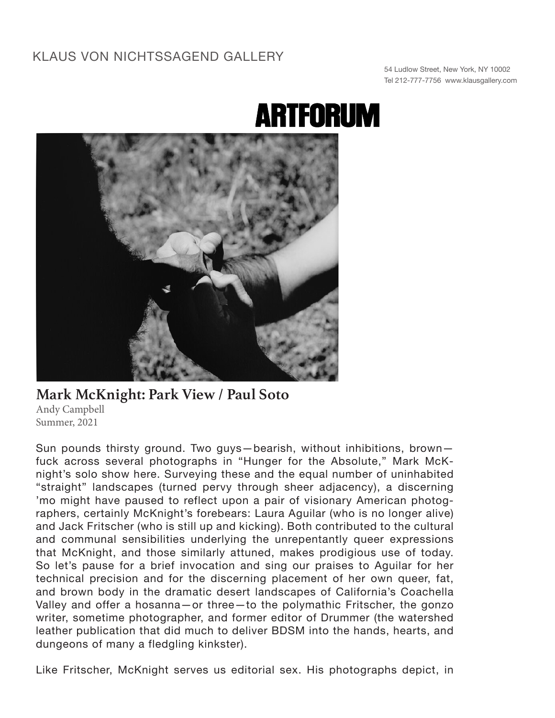## KLAUS VON NICHTSSAGEND GALLERY

54 Ludlow Street, New York, NY 10002 Tel 212-777-7756 www.klausgallery.com

## **ARTFORUM**



## **Mark McKnight: Park View / Paul Soto**

Andy Campbell Summer, 2021

Sun pounds thirsty ground. Two guys—bearish, without inhibitions, brown fuck across several photographs in "Hunger for the Absolute," Mark McKnight's solo show here. Surveying these and the equal number of uninhabited "straight" landscapes (turned pervy through sheer adjacency), a discerning 'mo might have paused to reflect upon a pair of visionary American photographers, certainly McKnight's forebears: Laura Aguilar (who is no longer alive) and Jack Fritscher (who is still up and kicking). Both contributed to the cultural and communal sensibilities underlying the unrepentantly queer expressions that McKnight, and those similarly attuned, makes prodigious use of today. So let's pause for a brief invocation and sing our praises to Aguilar for her technical precision and for the discerning placement of her own queer, fat, and brown body in the dramatic desert landscapes of California's Coachella Valley and offer a hosanna—or three—to the polymathic Fritscher, the gonzo writer, sometime photographer, and former editor of Drummer (the watershed leather publication that did much to deliver BDSM into the hands, hearts, and dungeons of many a fledgling kinkster).

Like Fritscher, McKnight serves us editorial sex. His photographs depict, in